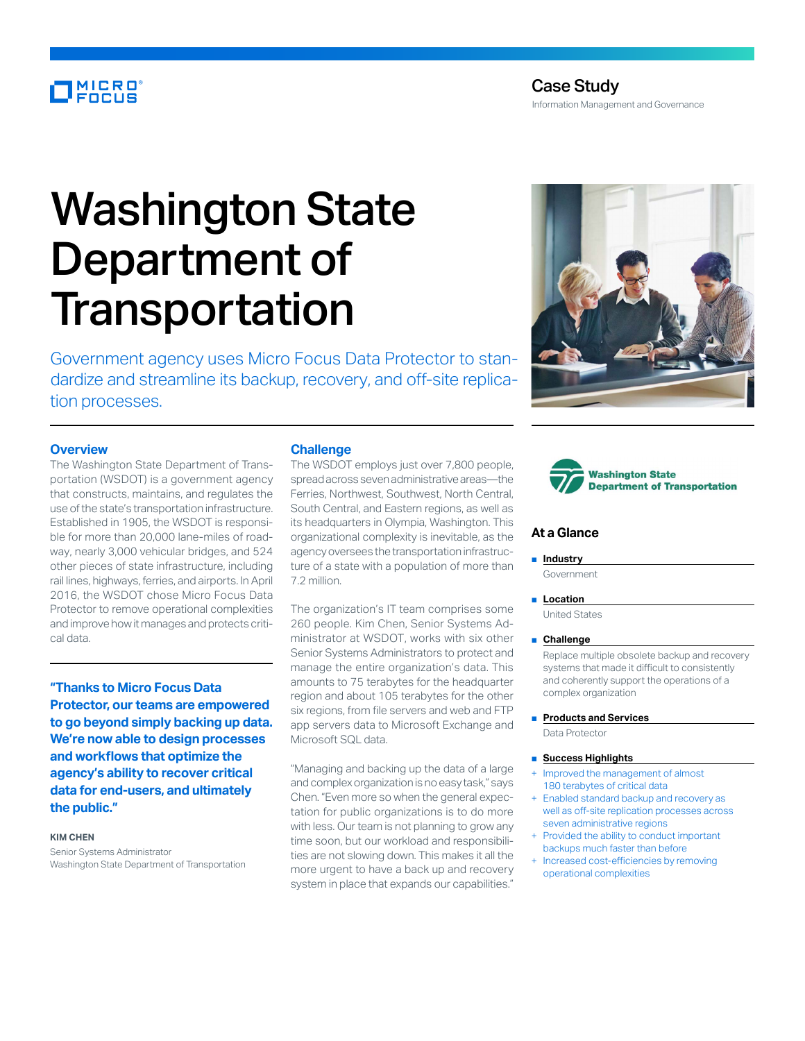# **MICRO**<br>FOCUS

# Washington State Department of **Transportation**

Government agency uses Micro Focus Data Protector to standardize and streamline its backup, recovery, and off-site replication processes.

# **Overview**

The Washington State Department of Transportation (WSDOT) is a government agency that constructs, maintains, and regulates the use of the state's transportation infrastructure. Established in 1905, the WSDOT is responsible for more than 20,000 lane-miles of roadway, nearly 3,000 vehicular bridges, and 524 other pieces of state infrastructure, including rail lines, highways, ferries, and airports. In April 2016, the WSDOT chose Micro Focus Data Protector to remove operational complexities and improve how it manages and protects critical data.

**"Thanks to Micro Focus Data Protector, our teams are empowered to go beyond simply backing up data. We're now able to design processes and workflows that optimize the agency's ability to recover critical data for end-users, and ultimately the public."**

#### **KIM CHEN**

Senior Systems Administrator Washington State Department of Transportation

#### **Challenge**

The WSDOT employs just over 7,800 people, spread across seven administrative areas—the Ferries, Northwest, Southwest, North Central, South Central, and Eastern regions, as well as its headquarters in Olympia, Washington. This organizational complexity is inevitable, as the agency oversees the transportation infrastructure of a state with a population of more than 7.2 million.

The organization's IT team comprises some 260 people. Kim Chen, Senior Systems Administrator at WSDOT, works with six other Senior Systems Administrators to protect and manage the entire organization's data. This amounts to 75 terabytes for the headquarter region and about 105 terabytes for the other six regions, from file servers and web and FTP app servers data to Microsoft Exchange and Microsoft SQL data.

"Managing and backing up the data of a large and complex organization is no easy task," says Chen. "Even more so when the general expectation for public organizations is to do more with less. Our team is not planning to grow any time soon, but our workload and responsibilities are not slowing down. This makes it all the more urgent to have a back up and recovery system in place that expands our capabilities."





# **At a Glance**

#### ■ **Industry**

Government

■ **Location** 

United States

#### ■ **Challenge**

Replace multiple obsolete backup and recovery systems that made it difficult to consistently and coherently support the operations of a complex organization

- **Products and Services**
- Data Protector

#### ■ **Success Highlights**

- Improved the management of almost 180 terabytes of critical data
- Enabled standard backup and recovery as well as off-site replication processes across seven administrative regions
- Provided the ability to conduct important backups much faster than before
- Increased cost-efficiencies by removing operational complexities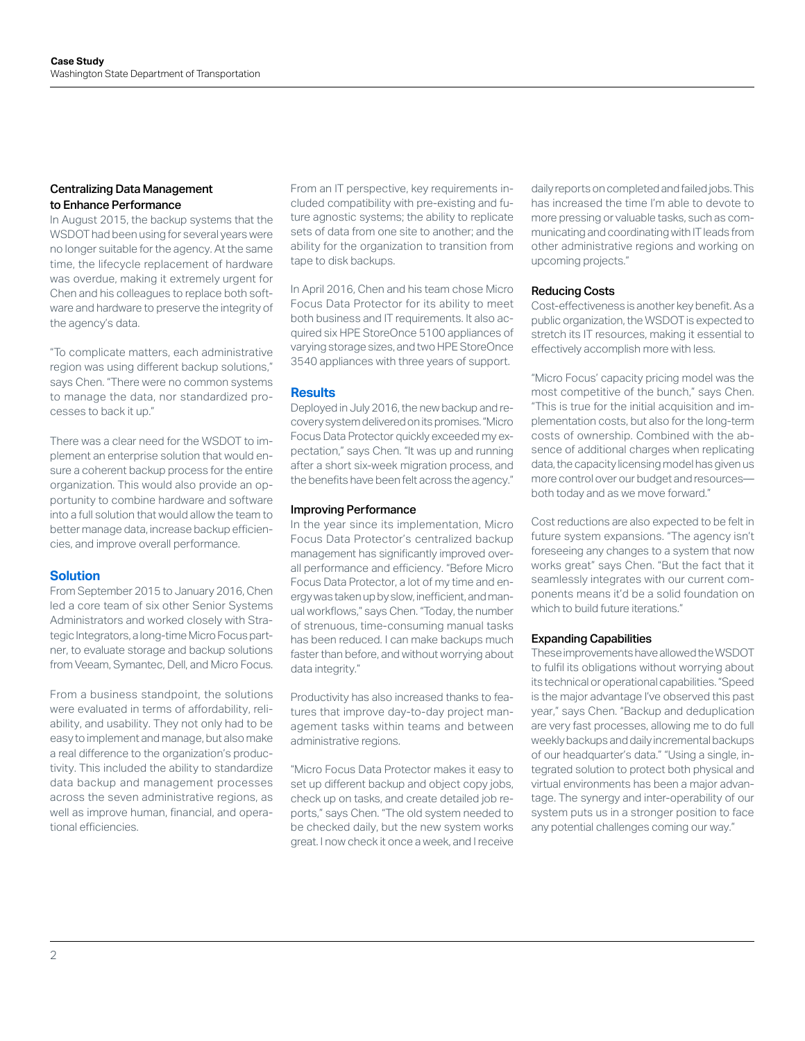# Centralizing Data Management to Enhance Performance

In August 2015, the backup systems that the WSDOT had been using for several years were no longer suitable for the agency. At the same time, the lifecycle replacement of hardware was overdue, making it extremely urgent for Chen and his colleagues to replace both software and hardware to preserve the integrity of the agency's data.

"To complicate matters, each administrative region was using different backup solutions," says Chen. "There were no common systems to manage the data, nor standardized processes to back it up."

There was a clear need for the WSDOT to implement an enterprise solution that would ensure a coherent backup process for the entire organization. This would also provide an opportunity to combine hardware and software into a full solution that would allow the team to better manage data, increase backup efficiencies, and improve overall performance.

# **Solution**

From September 2015 to January 2016, Chen led a core team of six other Senior Systems Administrators and worked closely with Strategic Integrators, a long-time Micro Focus partner, to evaluate storage and backup solutions from Veeam, Symantec, Dell, and Micro Focus.

From a business standpoint, the solutions were evaluated in terms of affordability, reliability, and usability. They not only had to be easy to implement and manage, but also make a real difference to the organization's productivity. This included the ability to standardize data backup and management processes across the seven administrative regions, as well as improve human, financial, and operational efficiencies.

From an IT perspective, key requirements included compatibility with pre-existing and future agnostic systems; the ability to replicate sets of data from one site to another; and the ability for the organization to transition from tape to disk backups.

In April 2016, Chen and his team chose Micro Focus Data Protector for its ability to meet both business and IT requirements. It also acquired six HPE StoreOnce 5100 appliances of varying storage sizes, and two HPE StoreOnce 3540 appliances with three years of support.

# **Results**

Deployed in July 2016, the new backup and recovery system delivered on its promises. "Micro Focus Data Protector quickly exceeded my expectation," says Chen. "It was up and running after a short six-week migration process, and the benefits have been felt across the agency."

# Improving Performance

In the year since its implementation, Micro Focus Data Protector's centralized backup management has significantly improved overall performance and efficiency. "Before Micro Focus Data Protector, a lot of my time and energy was taken up by slow, inefficient, and manual workflows," says Chen. "Today, the number of strenuous, time-consuming manual tasks has been reduced. I can make backups much faster than before, and without worrying about data integrity."

Productivity has also increased thanks to features that improve day-to-day project management tasks within teams and between administrative regions.

"Micro Focus Data Protector makes it easy to set up different backup and object copy jobs, check up on tasks, and create detailed job reports," says Chen. "The old system needed to be checked daily, but the new system works great. I now check it once a week, and I receive daily reports on completed and failed jobs. This has increased the time I'm able to devote to more pressing or valuable tasks, such as communicating and coordinating with IT leads from other administrative regions and working on upcoming projects."

# Reducing Costs

Cost-effectiveness is another key benefit. As a public organization, the WSDOT is expected to stretch its IT resources, making it essential to effectively accomplish more with less.

"Micro Focus' capacity pricing model was the most competitive of the bunch," says Chen. "This is true for the initial acquisition and implementation costs, but also for the long-term costs of ownership. Combined with the absence of additional charges when replicating data, the capacity licensing model has given us more control over our budget and resources both today and as we move forward."

Cost reductions are also expected to be felt in future system expansions. "The agency isn't foreseeing any changes to a system that now works great" says Chen. "But the fact that it seamlessly integrates with our current components means it'd be a solid foundation on which to build future iterations."

# Expanding Capabilities

These improvements have allowed the WSDOT to fulfil its obligations without worrying about its technical or operational capabilities. "Speed is the major advantage I've observed this past year," says Chen. "Backup and deduplication are very fast processes, allowing me to do full weekly backups and daily incremental backups of our headquarter's data." "Using a single, integrated solution to protect both physical and virtual environments has been a major advantage. The synergy and inter-operability of our system puts us in a stronger position to face any potential challenges coming our way."